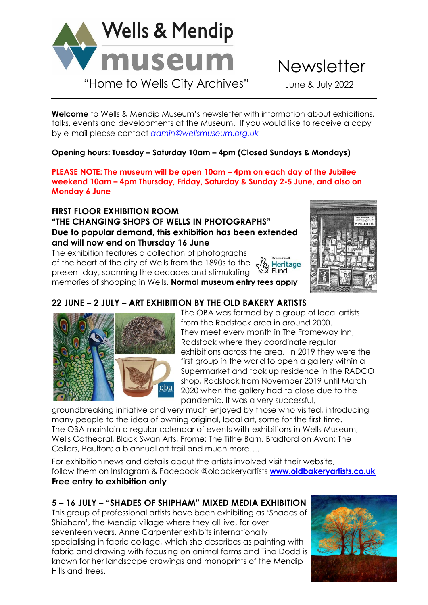

**Welcome** to Wells & Mendip Museum's newsletter with information about exhibitions, talks, events and developments at the Museum. If you would like to receive a copy by e-mail please contact *[admin@wellsmuseum.org.uk](mailto:admin@wellsmuseum.org.uk)*

**Opening hours: Tuesday – Saturday 10am – 4pm (Closed Sundays & Mondays)**

**PLEASE NOTE: The museum will be open 10am – 4pm on each day of the Jubilee weekend 10am – 4pm Thursday, Friday, Saturday & Sunday 2-5 June, and also on Monday 6 June**

**FIRST FLOOR EXHIBITION ROOM** 

### **"THE CHANGING SHOPS OF WELLS IN PHOTOGRAPHS" Due to popular demand, this exhibition has been extended and will now end on Thursday 16 June**

The exhibition features a collection of photographs of the heart of the city of Wells from the 1890s to the **Heritage** る Herit。<br>ン Fund present day, spanning the decades and stimulating memories of shopping in Wells. **Normal museum entry fees apply**



# **22 JUNE – 2 JULY – ART EXHIBITION BY THE OLD BAKERY ARTISTS**



 The OBA was formed by a group of local artists from the Radstock area in around 2000. They meet every month in The Fromeway Inn, Radstock where they coordinate regular exhibitions across the area. In 2019 they were the first group in the world to open a gallery within a Supermarket and took up residence in the RADCO shop, Radstock from November 2019 until March 2020 when the gallery had to close due to the pandemic. It was a very successful,

groundbreaking initiative and very much enjoyed by those who visited, introducing many people to the idea of owning original, local art, some for the first time. The OBA maintain a regular calendar of events with exhibitions in Wells Museum, Wells Cathedral, Black Swan Arts, Frome; The Tithe Barn, Bradford on Avon; The Cellars, Paulton; a biannual art trail and much more….

For exhibition news and details about the artists involved visit their website, follow them on Instagram & Facebook @oldbakeryartists **[www.oldbakeryartists.co.uk](http://www.oldbakeryartists.co.uk/) Free entry to exhibition only**

# **5 – 16 JULY – "SHADES OF SHIPHAM" MIXED MEDIA EXHIBITION**

This group of professional artists have been exhibiting as 'Shades of Shipham', the Mendip village where they all live, for over seventeen years. Anne Carpenter exhibits internationally specialising in fabric collage, which she describes as painting with fabric and drawing with focusing on animal forms and Tina Dodd is known for her landscape drawings and monoprints of the Mendip Hills and trees.

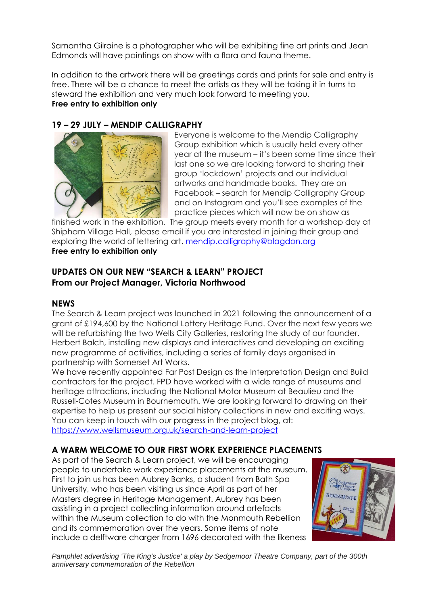Samantha Gilraine is a photographer who will be exhibiting fine art prints and Jean Edmonds will have paintings on show with a flora and fauna theme.

In addition to the artwork there will be greetings cards and prints for sale and entry is free. There will be a chance to meet the artists as they will be taking it in turns to steward the exhibition and very much look forward to meeting you. **Free entry to exhibition only** 

## **19 – 29 JULY – MENDIP CALLIGRAPHY**



 Everyone is welcome to the Mendip Calligraphy Group exhibition which is usually held every other year at the museum – it's been some time since their last one so we are looking forward to sharing their group 'lockdown' projects and our individual artworks and handmade books. They are on Facebook – search for Mendip Calligraphy Group and on Instagram and you'll see examples of the practice pieces which will now be on show as

finished work in the exhibition. The group meets every month for a workshop day at Shipham Village Hall, please email if you are interested in joining their group and exploring the world of lettering art. [mendip.calligraphy@blagdon.org](mailto:mendip.calligraphy@blagdon.org)  **Free entry to exhibition only**

### **UPDATES ON OUR NEW "SEARCH & LEARN" PROJECT From our Project Manager, Victoria Northwood**

#### **NEWS**

The Search & Learn project was launched in 2021 following the announcement of a grant of £194,600 by the National Lottery Heritage Fund. Over the next few years we will be refurbishing the two Wells City Galleries, restoring the study of our founder, Herbert Balch, installing new displays and interactives and developing an exciting new programme of activities, including a series of family days organised in partnership with Somerset Art Works.

We have recently appointed Far Post Design as the Interpretation Design and Build contractors for the project. FPD have worked with a wide range of museums and heritage attractions, including the National Motor Museum at Beaulieu and the Russell-Cotes Museum in Bournemouth. We are looking forward to drawing on their expertise to help us present our social history collections in new and exciting ways. You can keep in touch with our progress in the project blog, at: <https://www.wellsmuseum.org.uk/search-and-learn-project>

### **A WARM WELCOME TO OUR FIRST WORK EXPERIENCE PLACEMENTS**

As part of the Search & Learn project, we will be encouraging people to undertake work experience placements at the museum. First to join us has been Aubrey Banks, a student from Bath Spa University, who has been visiting us since April as part of her Masters degree in Heritage Management. Aubrey has been assisting in a project collecting information around artefacts within the Museum collection to do with the Monmouth Rebellion and its commemoration over the years. Some items of note include a delftware charger from 1696 decorated with the likeness



*Pamphlet advertising 'The King's Justice' a play by Sedgemoor Theatre Company, part of the 300th anniversary commemoration of the Rebellion*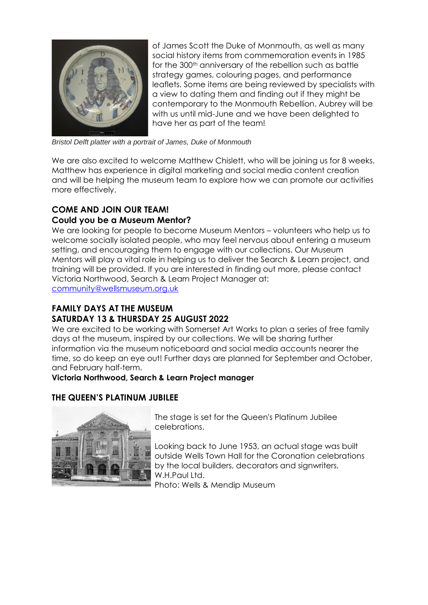

 of James Scott the Duke of Monmouth, as well as many social history items from commemoration events in 1985 for the 300<sup>th</sup> anniversary of the rebellion such as battle strategy games, colouring pages, and performance leaflets. Some items are being reviewed by specialists with a view to dating them and finding out if they might be contemporary to the Monmouth Rebellion. Aubrey will be with us until mid-June and we have been delighted to have her as part of the team!

*Bristol Delft platter with a portrait of James, Duke of Monmouth*

We are also excited to welcome Matthew Chislett, who will be joining us for 8 weeks. Matthew has experience in digital marketing and social media content creation and will be helping the museum team to explore how we can promote our activities more effectively.

## **COME AND JOIN OUR TEAM!**

#### **Could you be a Museum Mentor?**

We are looking for people to become Museum Mentors – volunteers who help us to welcome socially isolated people, who may feel nervous about entering a museum setting, and encouraging them to engage with our collections. Our Museum Mentors will play a vital role in helping us to deliver the Search & Learn project, and training will be provided. If you are interested in finding out more, please contact Victoria Northwood, Search & Learn Project Manager at: [community@wellsmuseum.org.uk](mailto:community@wellsmuseum.org.uk)

**FAMILY DAYS AT THE MUSEUM** 

## **SATURDAY 13 & THURSDAY 25 AUGUST 2022**

We are excited to be working with Somerset Art Works to plan a series of free family days at the museum, inspired by our collections. We will be sharing further information via the museum noticeboard and social media accounts nearer the time, so do keep an eye out! Further days are planned for September and October, and February half-term.

#### **Victoria Northwood, Search & Learn Project manager**

#### **THE QUEEN'S PLATINUM JUBILEE**



 The stage is set for the Queen's Platinum Jubilee celebrations.

 Looking back to June 1953, an actual stage was built outside Wells Town Hall for the Coronation celebrations by the local builders, decorators and signwriters, W.H.Paul Ltd. Photo: Wells & Mendip Museum